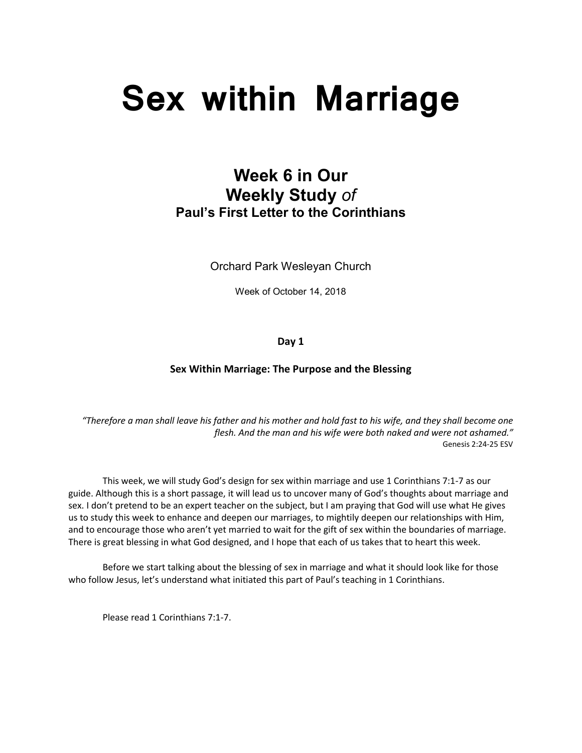# **Sex within Marriage**

# **Week 6 in Our Weekly Study** *of* **Paul's First Letter to the Corinthians**

Orchard Park Wesleyan Church

Week of October 14, 2018

**Day 1**

# **Sex Within Marriage: The Purpose and the Blessing**

*"Therefore a man shall leave his father and his mother and hold fast to his wife, and they shall become one flesh. And the man and his wife were both naked and were not ashamed."* Genesis 2:24-25 ESV

 This week, we will study God's design for sex within marriage and use 1 Corinthians 7:1-7 as our guide. Although this is a short passage, it will lead us to uncover many of God's thoughts about marriage and sex. I don't pretend to be an expert teacher on the subject, but I am praying that God will use what He gives us to study this week to enhance and deepen our marriages, to mightily deepen our relationships with Him, and to encourage those who aren't yet married to wait for the gift of sex within the boundaries of marriage. There is great blessing in what God designed, and I hope that each of us takes that to heart this week.

 Before we start talking about the blessing of sex in marriage and what it should look like for those who follow Jesus, let's understand what initiated this part of Paul's teaching in 1 Corinthians.

Please read 1 Corinthians 7:1-7.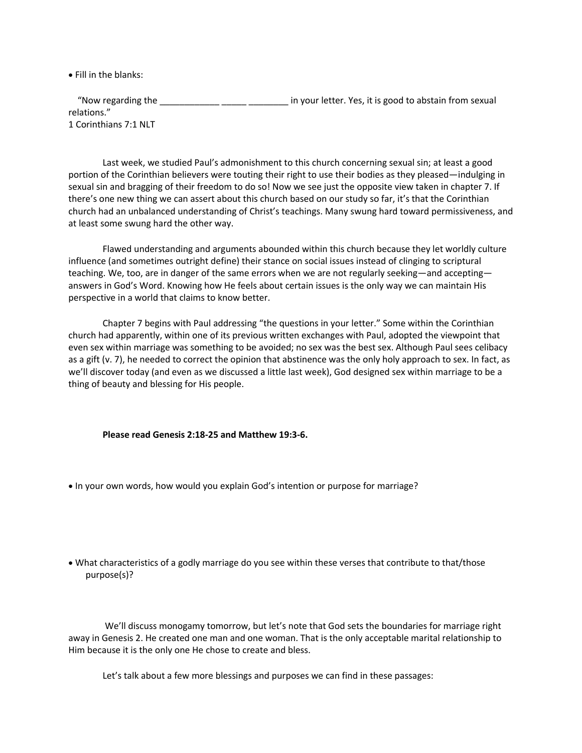• Fill in the blanks:

"Now regarding the \_\_\_\_\_\_\_\_\_\_\_\_\_\_\_\_\_\_\_\_\_\_\_\_\_\_\_\_\_\_\_\_ in your letter. Yes, it is good to abstain from sexual relations." 1 Corinthians 7:1 NLT

 Last week, we studied Paul's admonishment to this church concerning sexual sin; at least a good portion of the Corinthian believers were touting their right to use their bodies as they pleased—indulging in sexual sin and bragging of their freedom to do so! Now we see just the opposite view taken in chapter 7. If there's one new thing we can assert about this church based on our study so far, it's that the Corinthian church had an unbalanced understanding of Christ's teachings. Many swung hard toward permissiveness, and at least some swung hard the other way.

Flawed understanding and arguments abounded within this church because they let worldly culture influence (and sometimes outright define) their stance on social issues instead of clinging to scriptural teaching. We, too, are in danger of the same errors when we are not regularly seeking—and accepting answers in God's Word. Knowing how He feels about certain issues is the only way we can maintain His perspective in a world that claims to know better.

Chapter 7 begins with Paul addressing "the questions in your letter." Some within the Corinthian church had apparently, within one of its previous written exchanges with Paul, adopted the viewpoint that even sex within marriage was something to be avoided; no sex was the best sex. Although Paul sees celibacy as a gift (v. 7), he needed to correct the opinion that abstinence was the only holy approach to sex. In fact, as we'll discover today (and even as we discussed a little last week), God designed sex within marriage to be a thing of beauty and blessing for His people.

#### **Please read Genesis 2:18-25 and Matthew 19:3-6.**

- In your own words, how would you explain God's intention or purpose for marriage?
- What characteristics of a godly marriage do you see within these verses that contribute to that/those purpose(s)?

We'll discuss monogamy tomorrow, but let's note that God sets the boundaries for marriage right away in Genesis 2. He created one man and one woman. That is the only acceptable marital relationship to Him because it is the only one He chose to create and bless.

Let's talk about a few more blessings and purposes we can find in these passages: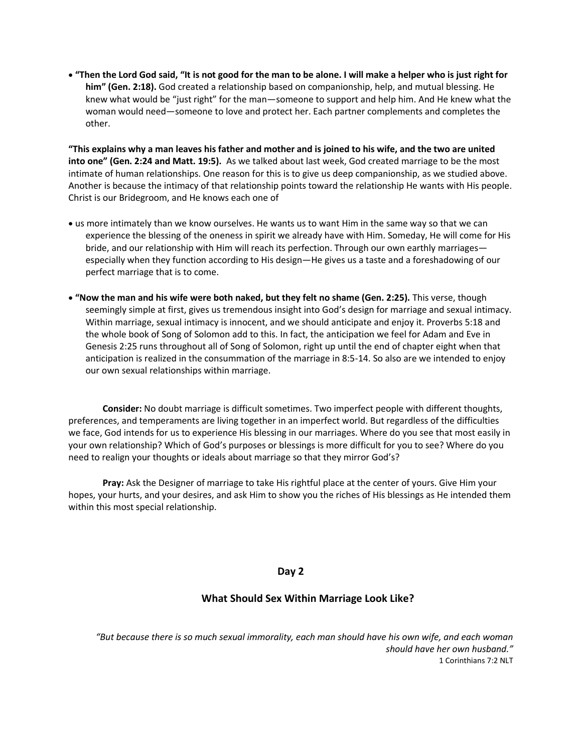• **"Then the Lord God said, "It is not good for the man to be alone. I will make a helper who is just right for him" (Gen. 2:18).** God created a relationship based on companionship, help, and mutual blessing. He knew what would be "just right" for the man—someone to support and help him. And He knew what the woman would need—someone to love and protect her. Each partner complements and completes the other.

**"This explains why a man leaves his father and mother and is joined to his wife, and the two are united into one" (Gen. 2:24 and Matt. 19:5).** As we talked about last week, God created marriage to be the most intimate of human relationships. One reason for this is to give us deep companionship, as we studied above. Another is because the intimacy of that relationship points toward the relationship He wants with His people. Christ is our Bridegroom, and He knows each one of

- us more intimately than we know ourselves. He wants us to want Him in the same way so that we can experience the blessing of the oneness in spirit we already have with Him. Someday, He will come for His bride, and our relationship with Him will reach its perfection. Through our own earthly marriages especially when they function according to His design—He gives us a taste and a foreshadowing of our perfect marriage that is to come.
- **"Now the man and his wife were both naked, but they felt no shame (Gen. 2:25).** This verse, though seemingly simple at first, gives us tremendous insight into God's design for marriage and sexual intimacy. Within marriage, sexual intimacy is innocent, and we should anticipate and enjoy it. Proverbs 5:18 and the whole book of Song of Solomon add to this. In fact, the anticipation we feel for Adam and Eve in Genesis 2:25 runs throughout all of Song of Solomon, right up until the end of chapter eight when that anticipation is realized in the consummation of the marriage in 8:5-14. So also are we intended to enjoy our own sexual relationships within marriage.

**Consider:** No doubt marriage is difficult sometimes. Two imperfect people with different thoughts, preferences, and temperaments are living together in an imperfect world. But regardless of the difficulties we face, God intends for us to experience His blessing in our marriages. Where do you see that most easily in your own relationship? Which of God's purposes or blessings is more difficult for you to see? Where do you need to realign your thoughts or ideals about marriage so that they mirror God's?

**Pray:** Ask the Designer of marriage to take His rightful place at the center of yours. Give Him your hopes, your hurts, and your desires, and ask Him to show you the riches of His blessings as He intended them within this most special relationship.

# **Day 2**

# **What Should Sex Within Marriage Look Like?**

*"But because there is so much sexual immorality, each man should have his own wife, and each woman should have her own husband."* 1 Corinthians 7:2 NLT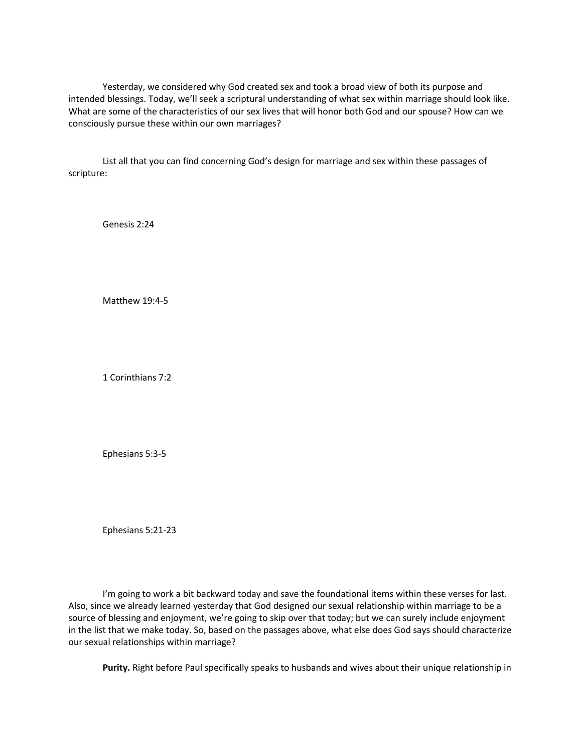Yesterday, we considered why God created sex and took a broad view of both its purpose and intended blessings. Today, we'll seek a scriptural understanding of what sex within marriage should look like. What are some of the characteristics of our sex lives that will honor both God and our spouse? How can we consciously pursue these within our own marriages?

List all that you can find concerning God's design for marriage and sex within these passages of scripture:

Genesis 2:24

Matthew 19:4-5

1 Corinthians 7:2

Ephesians 5:3-5

Ephesians 5:21-23

I'm going to work a bit backward today and save the foundational items within these verses for last. Also, since we already learned yesterday that God designed our sexual relationship within marriage to be a source of blessing and enjoyment, we're going to skip over that today; but we can surely include enjoyment in the list that we make today. So, based on the passages above, what else does God says should characterize our sexual relationships within marriage?

**Purity.** Right before Paul specifically speaks to husbands and wives about their unique relationship in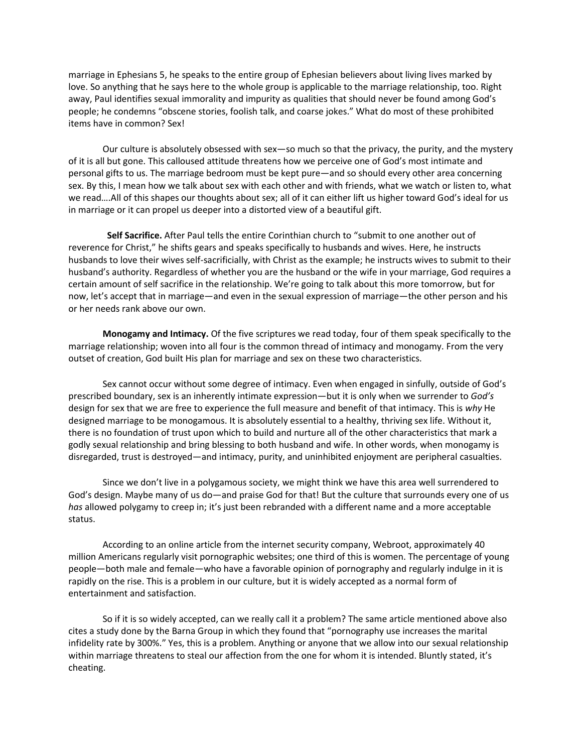marriage in Ephesians 5, he speaks to the entire group of Ephesian believers about living lives marked by love. So anything that he says here to the whole group is applicable to the marriage relationship, too. Right away, Paul identifies sexual immorality and impurity as qualities that should never be found among God's people; he condemns "obscene stories, foolish talk, and coarse jokes." What do most of these prohibited items have in common? Sex!

Our culture is absolutely obsessed with sex—so much so that the privacy, the purity, and the mystery of it is all but gone. This calloused attitude threatens how we perceive one of God's most intimate and personal gifts to us. The marriage bedroom must be kept pure—and so should every other area concerning sex. By this, I mean how we talk about sex with each other and with friends, what we watch or listen to, what we read….All of this shapes our thoughts about sex; all of it can either lift us higher toward God's ideal for us in marriage or it can propel us deeper into a distorted view of a beautiful gift.

**Self Sacrifice.** After Paul tells the entire Corinthian church to "submit to one another out of reverence for Christ," he shifts gears and speaks specifically to husbands and wives. Here, he instructs husbands to love their wives self-sacrificially, with Christ as the example; he instructs wives to submit to their husband's authority. Regardless of whether you are the husband or the wife in your marriage, God requires a certain amount of self sacrifice in the relationship. We're going to talk about this more tomorrow, but for now, let's accept that in marriage—and even in the sexual expression of marriage—the other person and his or her needs rank above our own.

**Monogamy and Intimacy.** Of the five scriptures we read today, four of them speak specifically to the marriage relationship; woven into all four is the common thread of intimacy and monogamy. From the very outset of creation, God built His plan for marriage and sex on these two characteristics.

Sex cannot occur without some degree of intimacy. Even when engaged in sinfully, outside of God's prescribed boundary, sex is an inherently intimate expression—but it is only when we surrender to *God's* design for sex that we are free to experience the full measure and benefit of that intimacy. This is *why* He designed marriage to be monogamous. It is absolutely essential to a healthy, thriving sex life. Without it, there is no foundation of trust upon which to build and nurture all of the other characteristics that mark a godly sexual relationship and bring blessing to both husband and wife. In other words, when monogamy is disregarded, trust is destroyed—and intimacy, purity, and uninhibited enjoyment are peripheral casualties.

Since we don't live in a polygamous society, we might think we have this area well surrendered to God's design. Maybe many of us do—and praise God for that! But the culture that surrounds every one of us *has* allowed polygamy to creep in; it's just been rebranded with a different name and a more acceptable status.

According to an online article from the internet security company, Webroot, approximately 40 million Americans regularly visit pornographic websites; one third of this is women. The percentage of young people—both male and female—who have a favorable opinion of pornography and regularly indulge in it is rapidly on the rise. This is a problem in our culture, but it is widely accepted as a normal form of entertainment and satisfaction.

So if it is so widely accepted, can we really call it a problem? The same article mentioned above also cites a study done by the Barna Group in which they found that "pornography use increases the marital infidelity rate by 300%." Yes, this is a problem. Anything or anyone that we allow into our sexual relationship within marriage threatens to steal our affection from the one for whom it is intended. Bluntly stated, it's cheating.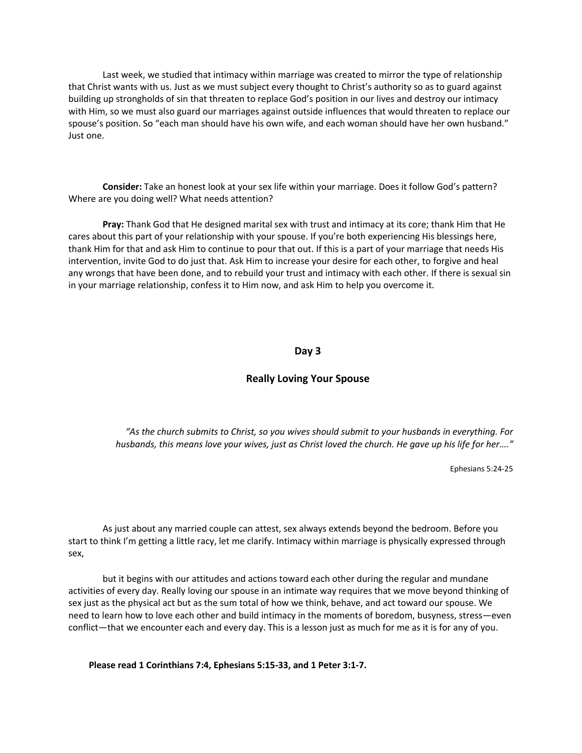Last week, we studied that intimacy within marriage was created to mirror the type of relationship that Christ wants with us. Just as we must subject every thought to Christ's authority so as to guard against building up strongholds of sin that threaten to replace God's position in our lives and destroy our intimacy with Him, so we must also guard our marriages against outside influences that would threaten to replace our spouse's position. So "each man should have his own wife, and each woman should have her own husband." Just one.

**Consider:** Take an honest look at your sex life within your marriage. Does it follow God's pattern? Where are you doing well? What needs attention?

**Pray:** Thank God that He designed marital sex with trust and intimacy at its core; thank Him that He cares about this part of your relationship with your spouse. If you're both experiencing His blessings here, thank Him for that and ask Him to continue to pour that out. If this is a part of your marriage that needs His intervention, invite God to do just that. Ask Him to increase your desire for each other, to forgive and heal any wrongs that have been done, and to rebuild your trust and intimacy with each other. If there is sexual sin in your marriage relationship, confess it to Him now, and ask Him to help you overcome it.

#### **Day 3**

#### **Really Loving Your Spouse**

*"As the church submits to Christ, so you wives should submit to your husbands in everything. For husbands, this means love your wives, just as Christ loved the church. He gave up his life for her…."*

Ephesians 5:24-25

As just about any married couple can attest, sex always extends beyond the bedroom. Before you start to think I'm getting a little racy, let me clarify. Intimacy within marriage is physically expressed through sex,

but it begins with our attitudes and actions toward each other during the regular and mundane activities of every day. Really loving our spouse in an intimate way requires that we move beyond thinking of sex just as the physical act but as the sum total of how we think, behave, and act toward our spouse. We need to learn how to love each other and build intimacy in the moments of boredom, busyness, stress—even conflict—that we encounter each and every day. This is a lesson just as much for me as it is for any of you.

**Please read 1 Corinthians 7:4, Ephesians 5:15-33, and 1 Peter 3:1-7.**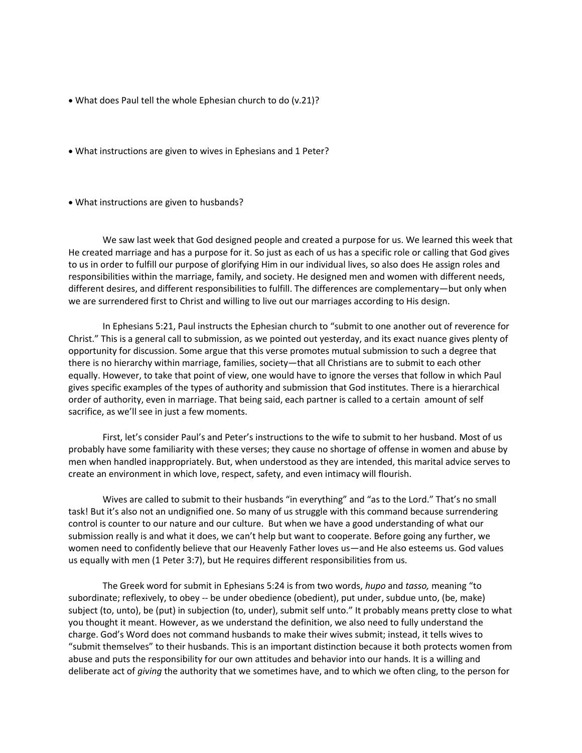- What does Paul tell the whole Ephesian church to do (v.21)?
- What instructions are given to wives in Ephesians and 1 Peter?
- What instructions are given to husbands?

We saw last week that God designed people and created a purpose for us. We learned this week that He created marriage and has a purpose for it. So just as each of us has a specific role or calling that God gives to us in order to fulfill our purpose of glorifying Him in our individual lives, so also does He assign roles and responsibilities within the marriage, family, and society. He designed men and women with different needs, different desires, and different responsibilities to fulfill. The differences are complementary—but only when we are surrendered first to Christ and willing to live out our marriages according to His design.

In Ephesians 5:21, Paul instructs the Ephesian church to "submit to one another out of reverence for Christ." This is a general call to submission, as we pointed out yesterday, and its exact nuance gives plenty of opportunity for discussion. Some argue that this verse promotes mutual submission to such a degree that there is no hierarchy within marriage, families, society—that all Christians are to submit to each other equally. However, to take that point of view, one would have to ignore the verses that follow in which Paul gives specific examples of the types of authority and submission that God institutes. There is a hierarchical order of authority, even in marriage. That being said, each partner is called to a certain amount of self sacrifice, as we'll see in just a few moments.

First, let's consider Paul's and Peter's instructions to the wife to submit to her husband. Most of us probably have some familiarity with these verses; they cause no shortage of offense in women and abuse by men when handled inappropriately. But, when understood as they are intended, this marital advice serves to create an environment in which love, respect, safety, and even intimacy will flourish.

Wives are called to submit to their husbands "in everything" and "as to the Lord." That's no small task! But it's also not an undignified one. So many of us struggle with this command because surrendering control is counter to our nature and our culture. But when we have a good understanding of what our submission really is and what it does, we can't help but want to cooperate. Before going any further, we women need to confidently believe that our Heavenly Father loves us—and He also esteems us. God values us equally with men (1 Peter 3:7), but He requires different responsibilities from us.

The Greek word for submit in Ephesians 5:24 is from two words, *hupo* and *tasso,* meaning "to subordinate; reflexively, to obey -- be under obedience (obedient), put under, subdue unto, (be, make) subject (to, unto), be (put) in subjection (to, under), submit self unto." It probably means pretty close to what you thought it meant. However, as we understand the definition, we also need to fully understand the charge. God's Word does not command husbands to make their wives submit; instead, it tells wives to "submit themselves" to their husbands. This is an important distinction because it both protects women from abuse and puts the responsibility for our own attitudes and behavior into our hands. It is a willing and deliberate act of *giving* the authority that we sometimes have, and to which we often cling, to the person for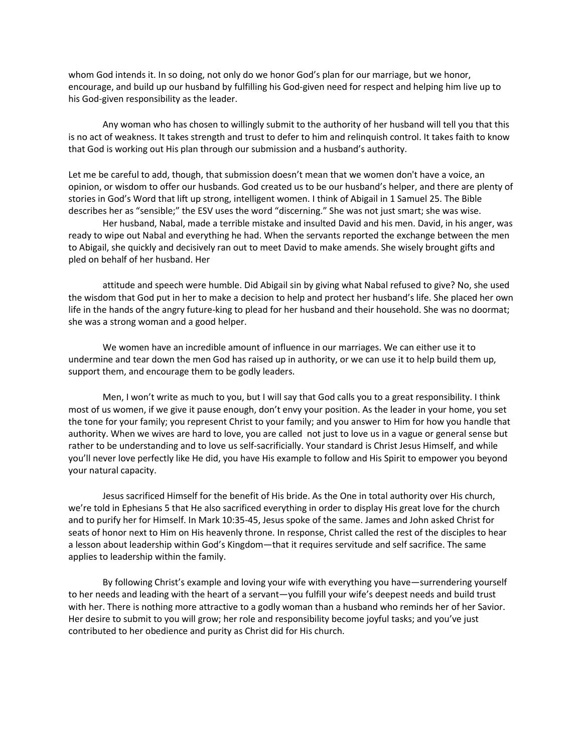whom God intends it. In so doing, not only do we honor God's plan for our marriage, but we honor, encourage, and build up our husband by fulfilling his God-given need for respect and helping him live up to his God-given responsibility as the leader.

Any woman who has chosen to willingly submit to the authority of her husband will tell you that this is no act of weakness. It takes strength and trust to defer to him and relinquish control. It takes faith to know that God is working out His plan through our submission and a husband's authority.

Let me be careful to add, though, that submission doesn't mean that we women don't have a voice, an opinion, or wisdom to offer our husbands. God created us to be our husband's helper, and there are plenty of stories in God's Word that lift up strong, intelligent women. I think of Abigail in 1 Samuel 25. The Bible describes her as "sensible;" the ESV uses the word "discerning." She was not just smart; she was wise.

Her husband, Nabal, made a terrible mistake and insulted David and his men. David, in his anger, was ready to wipe out Nabal and everything he had. When the servants reported the exchange between the men to Abigail, she quickly and decisively ran out to meet David to make amends. She wisely brought gifts and pled on behalf of her husband. Her

attitude and speech were humble. Did Abigail sin by giving what Nabal refused to give? No, she used the wisdom that God put in her to make a decision to help and protect her husband's life. She placed her own life in the hands of the angry future-king to plead for her husband and their household. She was no doormat; she was a strong woman and a good helper.

We women have an incredible amount of influence in our marriages. We can either use it to undermine and tear down the men God has raised up in authority, or we can use it to help build them up, support them, and encourage them to be godly leaders.

Men, I won't write as much to you, but I will say that God calls you to a great responsibility. I think most of us women, if we give it pause enough, don't envy your position. As the leader in your home, you set the tone for your family; you represent Christ to your family; and you answer to Him for how you handle that authority. When we wives are hard to love, you are called not just to love us in a vague or general sense but rather to be understanding and to love us self-sacrificially. Your standard is Christ Jesus Himself, and while you'll never love perfectly like He did, you have His example to follow and His Spirit to empower you beyond your natural capacity.

Jesus sacrificed Himself for the benefit of His bride. As the One in total authority over His church, we're told in Ephesians 5 that He also sacrificed everything in order to display His great love for the church and to purify her for Himself. In Mark 10:35-45, Jesus spoke of the same. James and John asked Christ for seats of honor next to Him on His heavenly throne. In response, Christ called the rest of the disciples to hear a lesson about leadership within God's Kingdom—that it requires servitude and self sacrifice. The same applies to leadership within the family.

By following Christ's example and loving your wife with everything you have—surrendering yourself to her needs and leading with the heart of a servant—you fulfill your wife's deepest needs and build trust with her. There is nothing more attractive to a godly woman than a husband who reminds her of her Savior. Her desire to submit to you will grow; her role and responsibility become joyful tasks; and you've just contributed to her obedience and purity as Christ did for His church.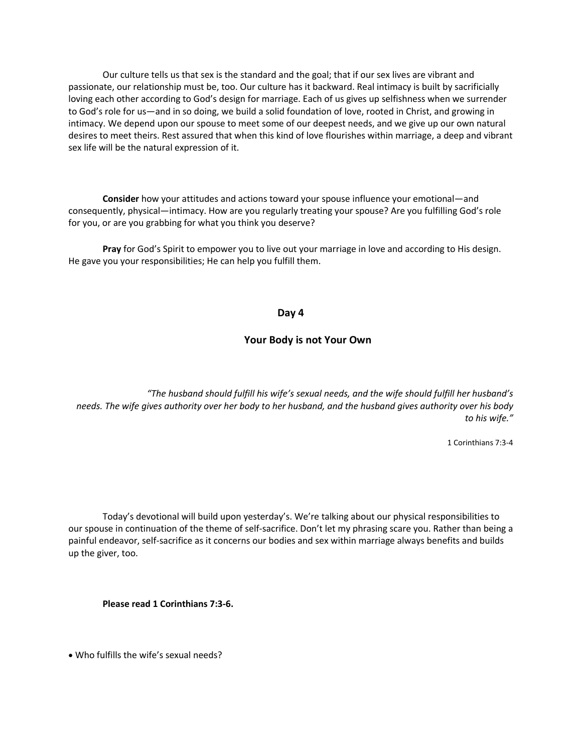Our culture tells us that sex is the standard and the goal; that if our sex lives are vibrant and passionate, our relationship must be, too. Our culture has it backward. Real intimacy is built by sacrificially loving each other according to God's design for marriage. Each of us gives up selfishness when we surrender to God's role for us—and in so doing, we build a solid foundation of love, rooted in Christ, and growing in intimacy. We depend upon our spouse to meet some of our deepest needs, and we give up our own natural desires to meet theirs. Rest assured that when this kind of love flourishes within marriage, a deep and vibrant sex life will be the natural expression of it.

**Consider** how your attitudes and actions toward your spouse influence your emotional—and consequently, physical—intimacy. How are you regularly treating your spouse? Are you fulfilling God's role for you, or are you grabbing for what you think you deserve?

**Pray** for God's Spirit to empower you to live out your marriage in love and according to His design. He gave you your responsibilities; He can help you fulfill them.

### **Day 4**

# **Your Body is not Your Own**

*"The husband should fulfill his wife's sexual needs, and the wife should fulfill her husband's needs. The wife gives authority over her body to her husband, and the husband gives authority over his body to his wife."*

1 Corinthians 7:3-4

Today's devotional will build upon yesterday's. We're talking about our physical responsibilities to our spouse in continuation of the theme of self-sacrifice. Don't let my phrasing scare you. Rather than being a painful endeavor, self-sacrifice as it concerns our bodies and sex within marriage always benefits and builds up the giver, too.

**Please read 1 Corinthians 7:3-6.**

• Who fulfills the wife's sexual needs?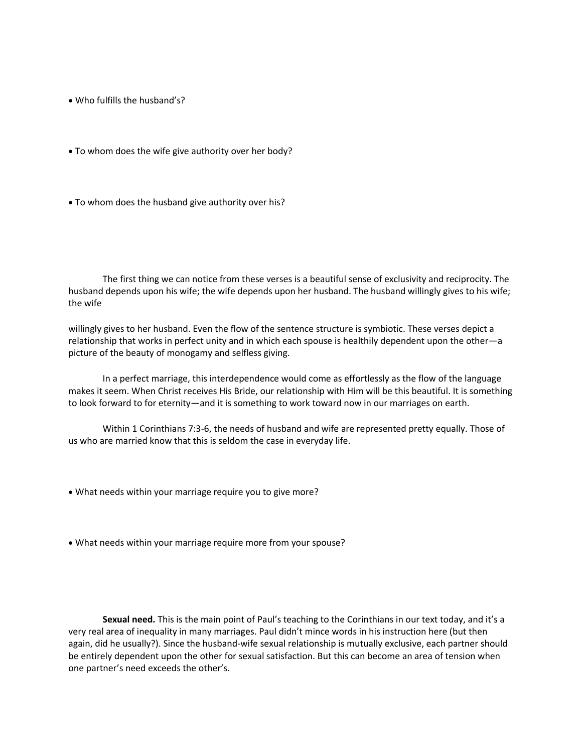- Who fulfills the husband's?
- To whom does the wife give authority over her body?
- To whom does the husband give authority over his?

The first thing we can notice from these verses is a beautiful sense of exclusivity and reciprocity. The husband depends upon his wife; the wife depends upon her husband. The husband willingly gives to his wife; the wife

willingly gives to her husband. Even the flow of the sentence structure is symbiotic. These verses depict a relationship that works in perfect unity and in which each spouse is healthily dependent upon the other—a picture of the beauty of monogamy and selfless giving.

In a perfect marriage, this interdependence would come as effortlessly as the flow of the language makes it seem. When Christ receives His Bride, our relationship with Him will be this beautiful. It is something to look forward to for eternity—and it is something to work toward now in our marriages on earth.

Within 1 Corinthians 7:3-6, the needs of husband and wife are represented pretty equally. Those of us who are married know that this is seldom the case in everyday life.

- What needs within your marriage require you to give more?
- What needs within your marriage require more from your spouse?

 **Sexual need.** This is the main point of Paul's teaching to the Corinthians in our text today, and it's a very real area of inequality in many marriages. Paul didn't mince words in his instruction here (but then again, did he usually?). Since the husband-wife sexual relationship is mutually exclusive, each partner should be entirely dependent upon the other for sexual satisfaction. But this can become an area of tension when one partner's need exceeds the other's.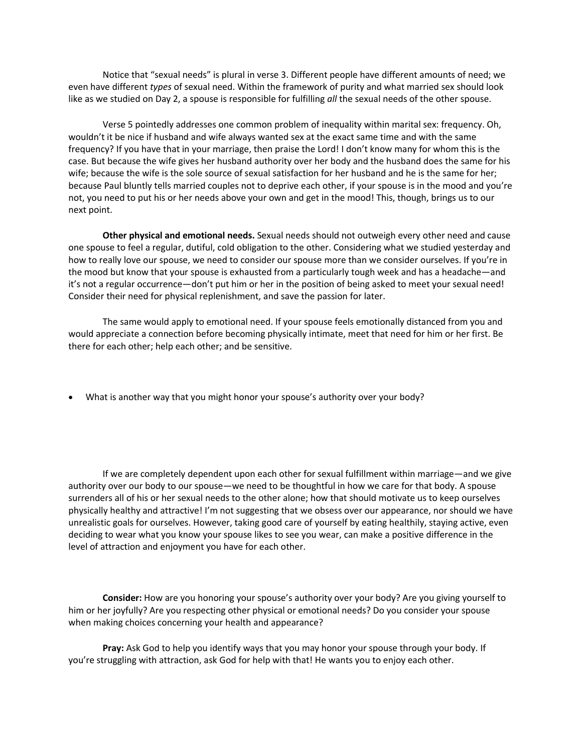Notice that "sexual needs" is plural in verse 3. Different people have different amounts of need; we even have different *types* of sexual need. Within the framework of purity and what married sex should look like as we studied on Day 2, a spouse is responsible for fulfilling *all* the sexual needs of the other spouse.

Verse 5 pointedly addresses one common problem of inequality within marital sex: frequency. Oh, wouldn't it be nice if husband and wife always wanted sex at the exact same time and with the same frequency? If you have that in your marriage, then praise the Lord! I don't know many for whom this is the case. But because the wife gives her husband authority over her body and the husband does the same for his wife; because the wife is the sole source of sexual satisfaction for her husband and he is the same for her; because Paul bluntly tells married couples not to deprive each other, if your spouse is in the mood and you're not, you need to put his or her needs above your own and get in the mood! This, though, brings us to our next point.

**Other physical and emotional needs.** Sexual needs should not outweigh every other need and cause one spouse to feel a regular, dutiful, cold obligation to the other. Considering what we studied yesterday and how to really love our spouse, we need to consider our spouse more than we consider ourselves. If you're in the mood but know that your spouse is exhausted from a particularly tough week and has a headache—and it's not a regular occurrence—don't put him or her in the position of being asked to meet your sexual need! Consider their need for physical replenishment, and save the passion for later.

The same would apply to emotional need. If your spouse feels emotionally distanced from you and would appreciate a connection before becoming physically intimate, meet that need for him or her first. Be there for each other; help each other; and be sensitive.

• What is another way that you might honor your spouse's authority over your body?

If we are completely dependent upon each other for sexual fulfillment within marriage—and we give authority over our body to our spouse—we need to be thoughtful in how we care for that body. A spouse surrenders all of his or her sexual needs to the other alone; how that should motivate us to keep ourselves physically healthy and attractive! I'm not suggesting that we obsess over our appearance, nor should we have unrealistic goals for ourselves. However, taking good care of yourself by eating healthily, staying active, even deciding to wear what you know your spouse likes to see you wear, can make a positive difference in the level of attraction and enjoyment you have for each other.

**Consider:** How are you honoring your spouse's authority over your body? Are you giving yourself to him or her joyfully? Are you respecting other physical or emotional needs? Do you consider your spouse when making choices concerning your health and appearance?

**Pray:** Ask God to help you identify ways that you may honor your spouse through your body. If you're struggling with attraction, ask God for help with that! He wants you to enjoy each other.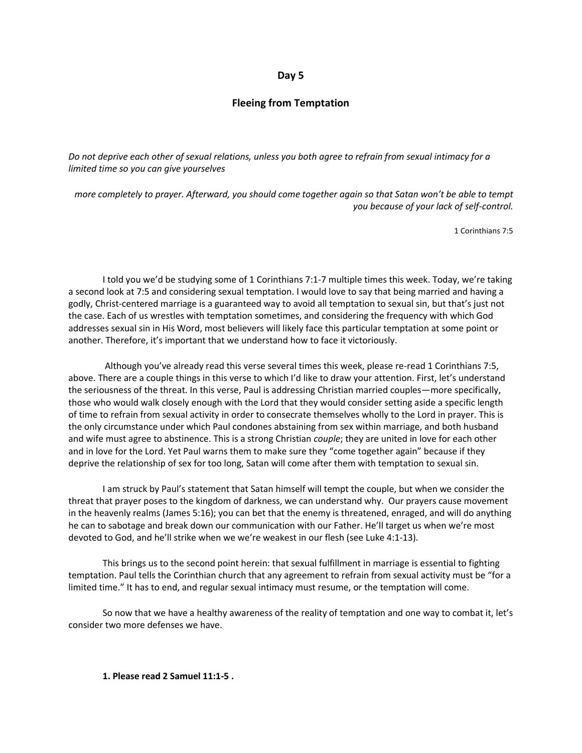#### **Day 5**

#### **Fleeing from Temptation**

*Do not deprive each other of sexual relations, unless you both agree to refrain from sexual intimacy for a limited time so you can give yourselves*

*more completely to prayer. Afterward, you should come together again so that Satan won't be able to tempt you because of your lack of self-control.*

1 Corinthians 7:5

I told you we'd be studying some of 1 Corinthians 7:1-7 multiple times this week. Today, we're taking a second look at 7:5 and considering sexual temptation. I would love to say that being married and having a godly, Christ-centered marriage is a guaranteed way to avoid all temptation to sexual sin, but that's just not the case. Each of us wrestles with temptation sometimes, and considering the frequency with which God addresses sexual sin in His Word, most believers will likely face this particular temptation at some point or another. Therefore, it's important that we understand how to face it victoriously.

Although you've already read this verse several times this week, please re-read 1 Corinthians 7:5, above. There are a couple things in this verse to which I'd like to draw your attention. First, let's understand the seriousness of the threat. In this verse, Paul is addressing Christian married couples—more specifically, those who would walk closely enough with the Lord that they would consider setting aside a specific length of time to refrain from sexual activity in order to consecrate themselves wholly to the Lord in prayer. This is the only circumstance under which Paul condones abstaining from sex within marriage, and both husband and wife must agree to abstinence. This is a strong Christian *couple*; they are united in love for each other and in love for the Lord. Yet Paul warns them to make sure they "come together again" because if they deprive the relationship of sex for too long, Satan will come after them with temptation to sexual sin.

I am struck by Paul's statement that Satan himself will tempt the couple, but when we consider the threat that prayer poses to the kingdom of darkness, we can understand why. Our prayers cause movement in the heavenly realms (James 5:16); you can bet that the enemy is threatened, enraged, and will do anything he can to sabotage and break down our communication with our Father. He'll target us when we're most devoted to God, and he'll strike when we we're weakest in our flesh (see Luke 4:1-13).

This brings us to the second point herein: that sexual fulfillment in marriage is essential to fighting temptation. Paul tells the Corinthian church that any agreement to refrain from sexual activity must be "for a limited time." It has to end, and regular sexual intimacy must resume, or the temptation will come.

So now that we have a healthy awareness of the reality of temptation and one way to combat it, let's consider two more defenses we have.

**1. Please read 2 Samuel 11:1-5 .**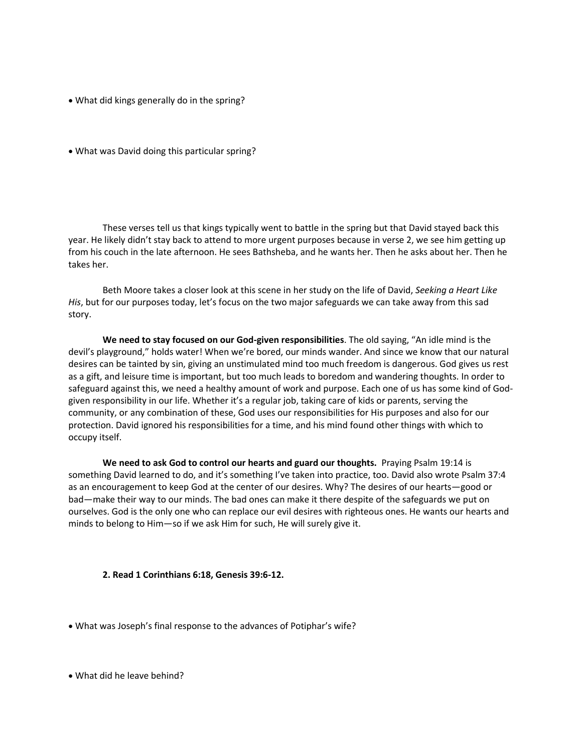- What did kings generally do in the spring?
- What was David doing this particular spring?

These verses tell us that kings typically went to battle in the spring but that David stayed back this year. He likely didn't stay back to attend to more urgent purposes because in verse 2, we see him getting up from his couch in the late afternoon. He sees Bathsheba, and he wants her. Then he asks about her. Then he takes her.

Beth Moore takes a closer look at this scene in her study on the life of David, *Seeking a Heart Like His*, but for our purposes today, let's focus on the two major safeguards we can take away from this sad story.

**We need to stay focused on our God-given responsibilities**. The old saying, "An idle mind is the devil's playground," holds water! When we're bored, our minds wander. And since we know that our natural desires can be tainted by sin, giving an unstimulated mind too much freedom is dangerous. God gives us rest as a gift, and leisure time is important, but too much leads to boredom and wandering thoughts. In order to safeguard against this, we need a healthy amount of work and purpose. Each one of us has some kind of Godgiven responsibility in our life. Whether it's a regular job, taking care of kids or parents, serving the community, or any combination of these, God uses our responsibilities for His purposes and also for our protection. David ignored his responsibilities for a time, and his mind found other things with which to occupy itself.

**We need to ask God to control our hearts and guard our thoughts.** Praying Psalm 19:14 is something David learned to do, and it's something I've taken into practice, too. David also wrote Psalm 37:4 as an encouragement to keep God at the center of our desires. Why? The desires of our hearts—good or bad—make their way to our minds. The bad ones can make it there despite of the safeguards we put on ourselves. God is the only one who can replace our evil desires with righteous ones. He wants our hearts and minds to belong to Him—so if we ask Him for such, He will surely give it.

#### **2. Read 1 Corinthians 6:18, Genesis 39:6-12.**

- What was Joseph's final response to the advances of Potiphar's wife?
- What did he leave behind?